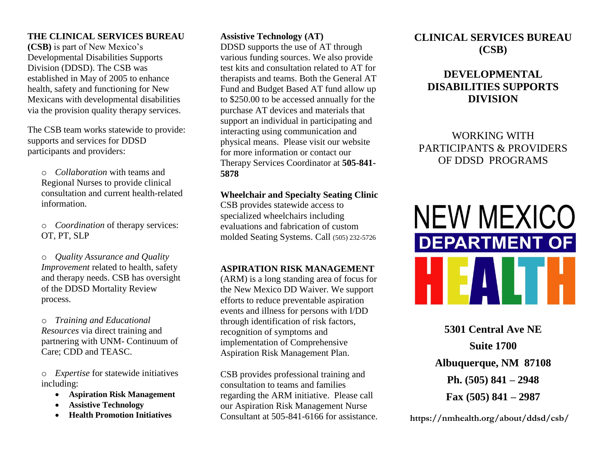## **THE CLINICAL SERVICES BUREAU**

**(CSB)** is part of New Mexico's Developmental Disabilities Supports Division (DDSD). The CSB was established in May of 2005 to enhance health, safety and functioning for New Mexicans with developmental disabilities via the provision quality therapy services.

The CSB team works statewide to provide: supports and services for DDSD participants and providers:

o *Collaboration* with teams and Regional Nurses to provide clinical consultation and current health-related information.

o *Coordination* of therapy services: OT, PT, SLP

o *Quality Assurance and Quality Improvement* related to health, safety and therapy needs. CSB has oversight of the DDSD Mortality Review process.

o *Training and Educational Resources* via direct training and partnering with UNM- Continuum of Care; CDD and TEASC.

o *Expertise* for statewide initiatives including:

- **Aspiration Risk Management**
- **Assistive Technology**
- **Health Promotion Initiatives**

### **Assistive Technology (AT)**

DDSD supports the use of AT through various funding sources. We also provide test kits and consultation related to AT for therapists and teams. Both the General AT Fund and Budget Based AT fund allow up to \$250.00 to be accessed annually for the purchase AT devices and materials that support an individual in participating and interacting using communication and physical means. Please visit our website for more information or contact our Therapy Services Coordinator at **505-841- 5878**

#### **Wheelchair and Specialty Seating Clinic**

CSB provides statewide access to specialized wheelchairs including evaluations and fabrication of custom molded Seating Systems. Call (505) 232-5726

## **ASPIRATION RISK MANAGEMENT**

(ARM) is a long standing area of focus for the New Mexico DD Waiver. We support efforts to reduce preventable aspiration events and illness for persons with I/DD through identification of risk factors, recognition of symptoms and implementation of Comprehensive Aspiration Risk Management Plan.

CSB provides professional training and consultation to teams and families regarding the ARM initiative. Please call our Aspiration Risk Management Nurse Consultant at 505-841-6166 for assistance.

# **CLINICAL SERVICES BUREAU (CSB)**

# **DEVELOPMENTAL DISABILITIES SUPPORTS DIVISION**

WORKING WITH PARTICIPANTS & PROVIDERS OF DDSD PROGRAMS



**5301 Central Ave NE Suite 1700 Albuquerque, NM 87108 Ph. (505) 841 – 2948 Fax (505) 841 – 2987**

*Contacts:* **https://nmhealth.org/about/ddsd/csb/**